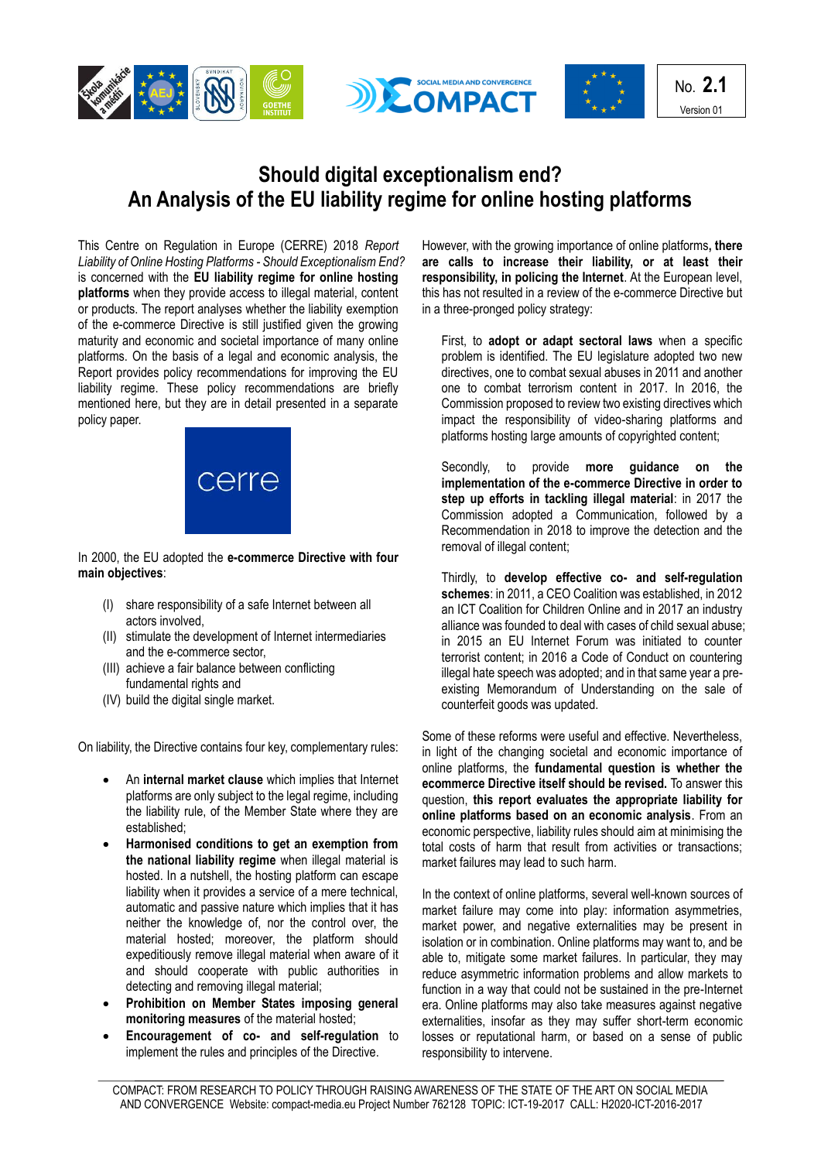





## **Should digital exceptionalism end? An Analysis of the EU liability regime for online hosting platforms**

This Centre on Regulation in Europe (CERRE) 2018 *Report Liability of Online Hosting Platforms - Should Exceptionalism End?*  is concerned with the **EU liability regime for online hosting platforms** when they provide access to illegal material, content or products. The report analyses whether the liability exemption of the e-commerce Directive is still justified given the growing maturity and economic and societal importance of many online platforms. On the basis of a legal and economic analysis, the Report provides policy recommendations for improving the EU liability regime. These policy recommendations are briefly mentioned here, but they are in detail presented in a separate policy paper.



In 2000, the EU adopted the **e-commerce Directive with four main objectives**:

- (I) share responsibility of a safe Internet between all actors involved,
- (II) stimulate the development of Internet intermediaries and the e-commerce sector,
- (III) achieve a fair balance between conflicting fundamental rights and
- (IV) build the digital single market.

On liability, the Directive contains four key, complementary rules:

- An **internal market clause** which implies that Internet platforms are only subject to the legal regime, including the liability rule, of the Member State where they are established;
- **Harmonised conditions to get an exemption from the national liability regime** when illegal material is hosted. In a nutshell, the hosting platform can escape liability when it provides a service of a mere technical, automatic and passive nature which implies that it has neither the knowledge of, nor the control over, the material hosted; moreover, the platform should expeditiously remove illegal material when aware of it and should cooperate with public authorities in detecting and removing illegal material;
- **Prohibition on Member States imposing general monitoring measures** of the material hosted;
- **Encouragement of co- and self-regulation** to implement the rules and principles of the Directive.

However, with the growing importance of online platforms**, there are calls to increase their liability, or at least their responsibility, in policing the Internet**. At the European level, this has not resulted in a review of the e-commerce Directive but in a three-pronged policy strategy:

First, to **adopt or adapt sectoral laws** when a specific problem is identified. The EU legislature adopted two new directives, one to combat sexual abuses in 2011 and another one to combat terrorism content in 2017. In 2016, the Commission proposed to review two existing directives which impact the responsibility of video-sharing platforms and platforms hosting large amounts of copyrighted content;

Secondly, to provide **more guidance on the implementation of the e-commerce Directive in order to step up efforts in tackling illegal material**: in 2017 the Commission adopted a Communication, followed by a Recommendation in 2018 to improve the detection and the removal of illegal content;

Thirdly, to **develop effective co- and self-regulation schemes**: in 2011, a CEO Coalition was established, in 2012 an ICT Coalition for Children Online and in 2017 an industry alliance was founded to deal with cases of child sexual abuse; in 2015 an EU Internet Forum was initiated to counter terrorist content; in 2016 a Code of Conduct on countering illegal hate speech was adopted; and in that same year a preexisting Memorandum of Understanding on the sale of counterfeit goods was updated.

Some of these reforms were useful and effective. Nevertheless, in light of the changing societal and economic importance of online platforms, the **fundamental question is whether the ecommerce Directive itself should be revised.** To answer this question, **this report evaluates the appropriate liability for online platforms based on an economic analysis**. From an economic perspective, liability rules should aim at minimising the total costs of harm that result from activities or transactions; market failures may lead to such harm.

In the context of online platforms, several well-known sources of market failure may come into play: information asymmetries, market power, and negative externalities may be present in isolation or in combination. Online platforms may want to, and be able to, mitigate some market failures. In particular, they may reduce asymmetric information problems and allow markets to function in a way that could not be sustained in the pre-Internet era. Online platforms may also take measures against negative externalities, insofar as they may suffer short-term economic losses or reputational harm, or based on a sense of public responsibility to intervene.